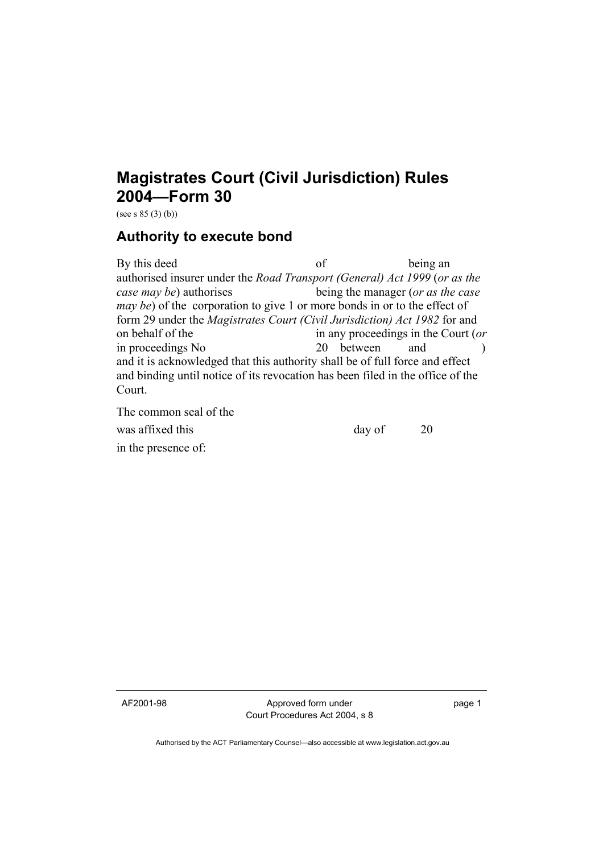## **Magistrates Court (Civil Jurisdiction) Rules 2004—Form 30**

(see s  $85(3)(b)$ )

## **Authority to execute bond**

By this deed of being an authorised insurer under the *Road Transport (General) Act 1999* (*or as the case may be*) authorises being the manager (*or as the case may be*) of the corporation to give 1 or more bonds in or to the effect of form 29 under the *Magistrates Court (Civil Jurisdiction) Act 1982* for and on behalf of the in any proceedings in the Court (*or* in proceedings No 20 between and ) and it is acknowledged that this authority shall be of full force and effect and binding until notice of its revocation has been filed in the office of the Court.

The common seal of the

was affixed this day of 20 in the presence of:

AF2001-98 Approved form under Court Procedures Act 2004, s 8 page 1

Authorised by the ACT Parliamentary Counsel—also accessible at www.legislation.act.gov.au